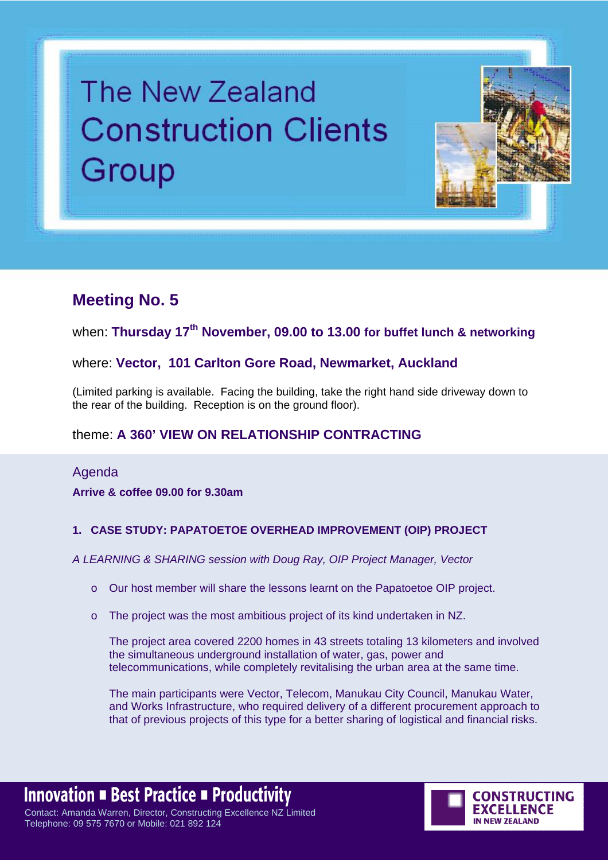# The New Zealand **Construction Clients** Group



## **Meeting No. 5**

when: **Thursday 17th November, 09.00 to 13.00 for buffet lunch & networking**

#### where: **Vector, 101 Carlton Gore Road, Newmarket, Auckland**

(Limited parking is available. Facing the building, take the right hand side driveway down to the rear of the building. Reception is on the ground floor).

### theme: **A 360' VIEW ON RELATIONSHIP CONTRACTING**

Agenda **Arrive & coffee 09.00 for 9.30am** 

#### **1. CASE STUDY: PAPATOETOE OVERHEAD IMPROVEMENT (OIP) PROJECT**

*A LEARNING & SHARING session with Doug Ray, OIP Project Manager, Vector* 

- o Our host member will share the lessons learnt on the Papatoetoe OIP project.
- o The project was the most ambitious project of its kind undertaken in NZ.

The project area covered 2200 homes in 43 streets totaling 13 kilometers and involved the simultaneous underground installation of water, gas, power and telecommunications, while completely revitalising the urban area at the same time.

The main participants were Vector, Telecom, Manukau City Council, Manukau Water, and Works Infrastructure, who required delivery of a different procurement approach to that of previous projects of this type for a better sharing of logistical and financial risks.

**Innovation ■ Best Practice ■ Productivity** Contact: Amanda Warren, Director, Constructing Excellence NZ Limited Telephone: 09 575 7670 or Mobile: 021 892 124